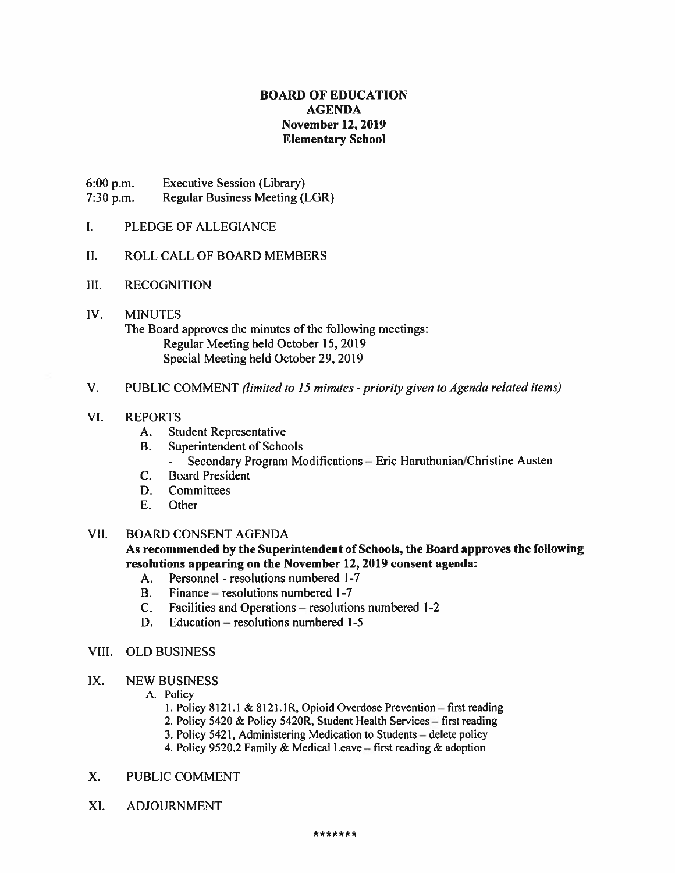## BOARD OF EDUCATION AGENDA November 12, 2019 Elementary School

- 6:00 p.m. Executive Session (Library)
- 7:30 p.m. Regular Business Meeting (LGR)
- 1. PLEDGE OF ALLEGIANCE
- II. ROLL CALL OF BOARD MEMBERS
- III. RECOGNITION
- IV. MINUTES The Board approves the minutes of the following meetings: Regular Meeting held October 15, 2019 Special Meeting held October 29, 2019
- V. PUBLIC COMMENT (limited to 15 minutes priority given to Agenda related items)

#### VI. REPORTS

- A. Student Representative
- B. Superintendent of Schools
	- -Secondary Program Modifications - Eric Haruthunian/Christine Austen
- C. Board President
- D. Committees
- E. Other

## VII. BOARD CONSENT AGENDA

## As recommended by the Superintendent of Schools, the Board approves the following resolutions appearing on the November 12, 2019 consent agenda:

- A. Personnel resolutions numbered 1-7
- B. Finance resolutions numbered 1-7
- C. Facilities and Operations resolutions numbered 1-2
- D. Education resolutions numbered 1-5
- VIII. OLD BUSINESS

#### IX. NEW BUSINESS

- A. Policy
	- 1. Policy 8121.1 & 8121 .IR, Opioid Overdose Prevention first reading
	- 2. Policy 5420 & Policy 5420R. Student Health Services first reading
	- 3. Policy 542]. Administering Medication to Students delete policy
	- 4. Policy 9520.2 Family & Medical Leave first reading & adoption

## X. PUBLIC COMMENT

XI. ADJOURNMENT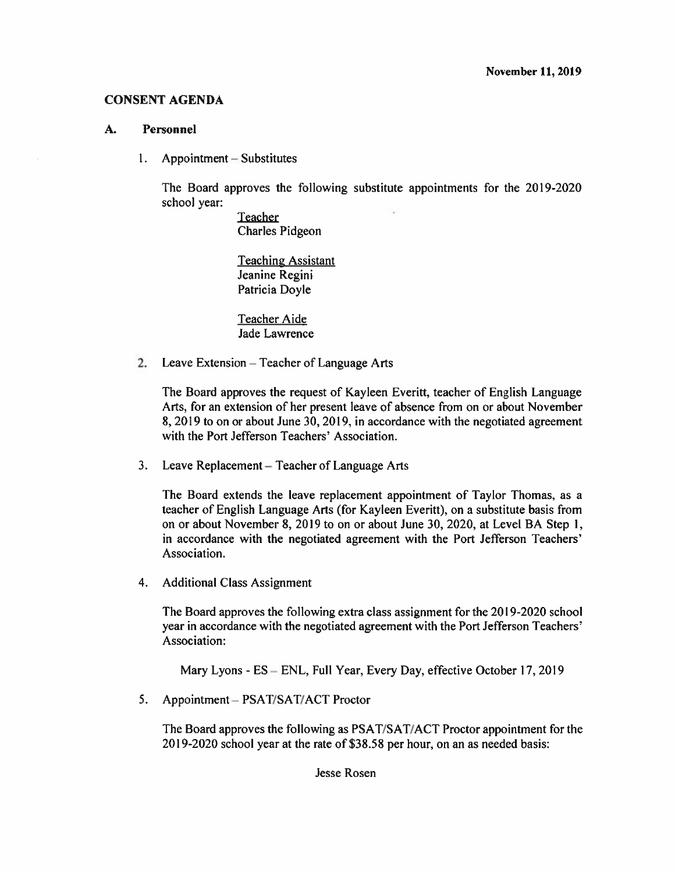#### CONSENT AGENDA

#### A. Personnel

 $\mathbf{1}$ . Appointment — Substitutes

> The Board approves the following substitute appointments for the 2019-2020 school year:

> > Teacher Charles Pidgeon

Teaching Assistant Jeanine Regini Patricia Doyle

Teacher Aide Jade Lawrence

2. Leave Extension — Teacher of Language Arts

The Board approves the reques<sup>t</sup> of Kayleen Everitt, teacher of English Language Arts, for an extension of her presen<sup>t</sup> leave of absence from on or about November 8, 2019 to on or about June 30, 2019, in accordance with the negotiated agreemen<sup>t</sup> with the Port Jefferson Teachers' Association.

3. Leave Replacement — Teacher of Language Arts

The Board extends the leave replacement appointment of Taylor Thomas, as <sup>a</sup> teacher of English Language Arts (for Kayleen Everitt), on <sup>a</sup> substitute basis from on or about November 8,2019 to on or about June 30, 2020, at Level BA Step 1, in accordance with the negotiated agreemen<sup>t</sup> with the Port Jefferson Teachers' Association.

4. Additional Class Assignment

The Board approves the following extra class assignment for the 2019-2020 school year in accordance with the negotiated agreemen<sup>t</sup> with the Port Jefferson Teachers' Association:

Mary Lyons - ES — ENL, Full Year, Every Day, effective October 17, 2019

5. Appointment — PSAT/SAT/ACT Proctor

The Board approves the following as PSAT/SAT/ACT Proctor appointment for the 2019-2020 school year at the rate of \$38.58 per hour, on an as needed basis:

Jesse Rosen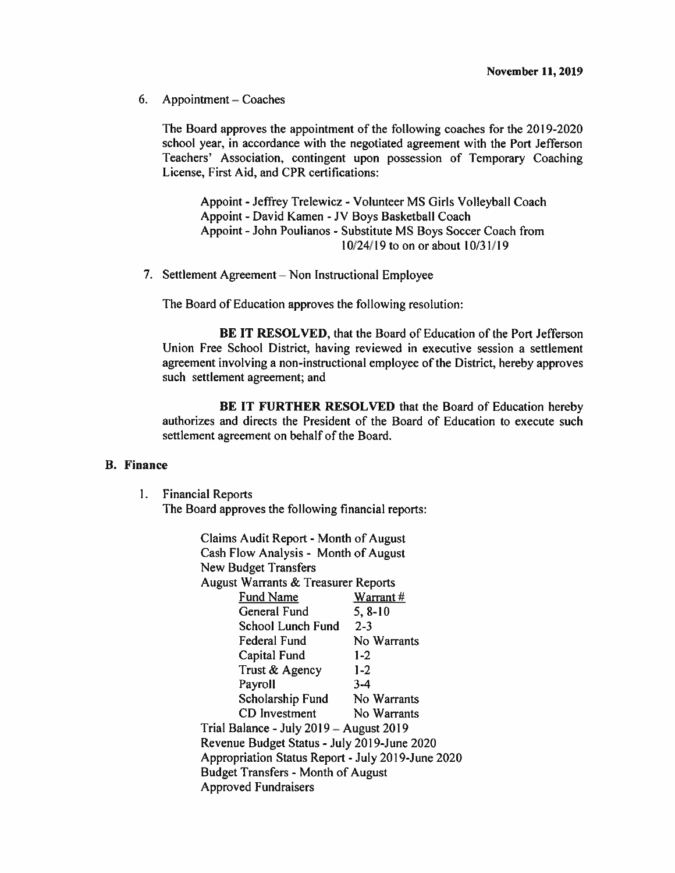6. Appointment — Coaches

The Board approves the appointment of the following coaches for the 2019-2020 school year, in accordance with the negotiated agreemen<sup>t</sup> with the Port Jefferson Teachers' Association, contingent upon possession of Temporary Coaching License, First Aid, and CPR certifications:

Appoint -Jeffrey Trelewicz - Volunteer MS Girls Volleyball Coach Appoint - David Kamen -JV Boys Basketball Coach Appoint -John Poulianos - Substitute MS Boys Soccer Coach from 10/24/19 to on or about 10/31/19

7. Settlement Agreement — Non Instructional Employee

The Board of Education approves the following resolution:

BE IT RESOLVED, that the Board of Education of the Port Jefferson Union Free School District, having reviewed in executive session <sup>a</sup> settlement agreemen<sup>t</sup> involving <sup>a</sup> non-instructional employee of the District, hereby approves such settlement agreement; and

BE IT FURTHER RESOLVED that the Board of Education hereby authorizes and directs the President of the Board of Education to execute such settlement agreemen<sup>t</sup> on behalf of the Board.

#### B. Finance

 $1.$ Financial Reports The Board approves the following financial reports:

> Claims Audit Report - Month of August Cash Flow Analysis - Month of August New Budget Transfers August Warrants & Treasurer Reports Fund Name Warrant # General Fund 5, 8-10 School Lunch Fund 2-3 Federal Fund No Warrants Capital Fund 1-2 Trust& Agency 1-2 Payroll 3-4 Scholarship Fund No Warrants CD Investment No Warrants Trial Balance -July 2019— August 2019 Revenue Budget Status -July 2019-June 2020 Appropriation Status Report -July 2019-June 2020 Budget Transfers - Month of August Approved Fundraisers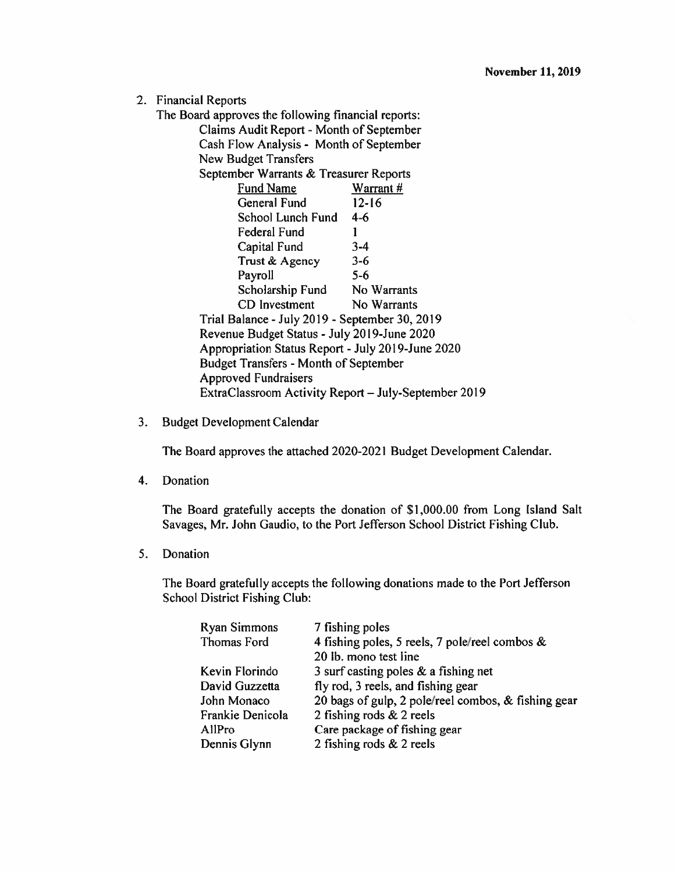2. Financial Reports

|                                                   | The Board approves the following financial reports:  |                                                |  |  |  |  |
|---------------------------------------------------|------------------------------------------------------|------------------------------------------------|--|--|--|--|
|                                                   | Claims Audit Report - Month of September             |                                                |  |  |  |  |
|                                                   | Cash Flow Analysis - Month of September              |                                                |  |  |  |  |
|                                                   | New Budget Transfers                                 |                                                |  |  |  |  |
|                                                   | September Warrants & Treasurer Reports               |                                                |  |  |  |  |
|                                                   | <b>Fund Name</b>                                     | <b>Warrant#</b>                                |  |  |  |  |
|                                                   | General Fund                                         | $12 - 16$                                      |  |  |  |  |
|                                                   | School Lunch Fund 4-6                                |                                                |  |  |  |  |
|                                                   | Federal Fund                                         | 1                                              |  |  |  |  |
|                                                   | Capital Fund                                         | $3-4$                                          |  |  |  |  |
|                                                   | Trust & Agency $3-6$                                 |                                                |  |  |  |  |
|                                                   | Payroll                                              | $5-6$                                          |  |  |  |  |
|                                                   | Scholarship Fund No Warrants                         |                                                |  |  |  |  |
|                                                   | CD Investment                                        | No Warrants                                    |  |  |  |  |
|                                                   |                                                      | Trial Balance - July 2019 - September 30, 2019 |  |  |  |  |
|                                                   |                                                      | Revenue Budget Status - July 2019-June 2020    |  |  |  |  |
| Appropriation Status Report - July 2019-June 2020 |                                                      |                                                |  |  |  |  |
|                                                   | <b>Budget Transfers - Month of September</b>         |                                                |  |  |  |  |
| <b>Approved Fundraisers</b>                       |                                                      |                                                |  |  |  |  |
|                                                   | ExtraClassroom Activity Report – July-September 2019 |                                                |  |  |  |  |
|                                                   |                                                      |                                                |  |  |  |  |

3. Budget Development Calendar

The Board approves the attached 2020-2021 Budget Development Calendar.

4. Donation

The Board gratefully accepts the donation of \$1,000.00 from Long Island Salt Savages, Mr. John Gaudio, to the Port Jefferson School District Fishing Club.

5. Donation

The Board gratefully accepts the following donations made to the Port Jefferson School District Fishing Club:

| Ryan Simmons     | 7 fishing poles                                     |
|------------------|-----------------------------------------------------|
| Thomas Ford      | 4 fishing poles, 5 reels, 7 pole/reel combos $\&$   |
|                  | 20 lb. mono test line                               |
| Kevin Florindo   | 3 surf casting poles $\&$ a fishing net             |
| David Guzzetta   | fly rod, 3 reels, and fishing gear                  |
| John Monaco      | 20 bags of gulp, 2 pole/reel combos, & fishing gear |
| Frankie Denicola | 2 fishing rods $& 2$ reels                          |
| AllPro           | Care package of fishing gear                        |
| Dennis Glynn     | 2 fishing rods $& 2$ reels                          |
|                  |                                                     |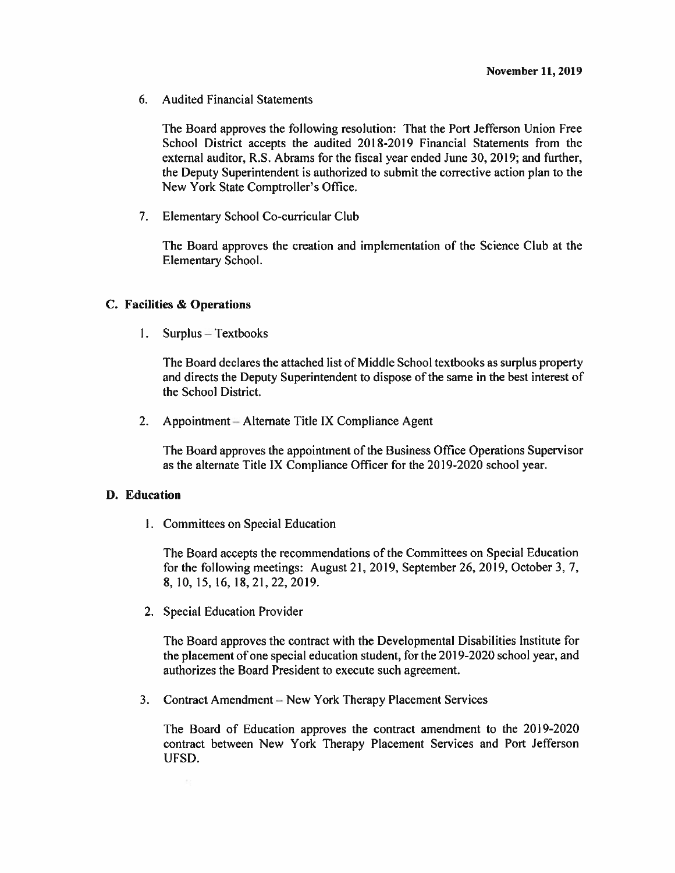6. Audited Financial Statements

The Board approves the following resolution: That the Port Jefferson Union Free School District accepts the audited 2018-2019 Financial Statements from the external auditor, R.S. Abrams for the fiscal year ended June 30, 2019; and further, the Deputy Superintendent is authorized to submit the corrective action plan to the New York State Comptroller's Office.

7. Elementary School Co-curricular Club

The Board approves the creation and implementation of the Science Club at the Elementary School.

#### C. Facilities & Operations

1. Surplus — Textbooks

The Board declares the attached list of Middle School textbooks as surplus property and directs the Deputy Superintendent to dispose of the same in the best interest of the School District.

2. Appointment — Alternate Title IX Compliance Agent

The Board approves the appointment of the Business Office Operations Supervisor as the alternate Title IX Compliance Officer for the 20 19-2020 school year.

#### B. Education

I. Committees on Special Education

The Board accepts the recommendations of the Committees on Special Education for the following meetings: August 21, 2019, September 26, 2019, October 3, 7, 8,10,15,16,18,21,22,2019.

2. Special Education Provider

The Board approves the contract with the Developmental Disabilities Institute for the placement of one special education student, for the 2019-2020 school year, and authorizes the Board President to execute such agreement.

3. Contract Amendment — New York Therapy Placement Services

The Board of Education approves the contract amendment to the 2019-2020 contract between New York Therapy Placement Services and Port Jefferson UFSD.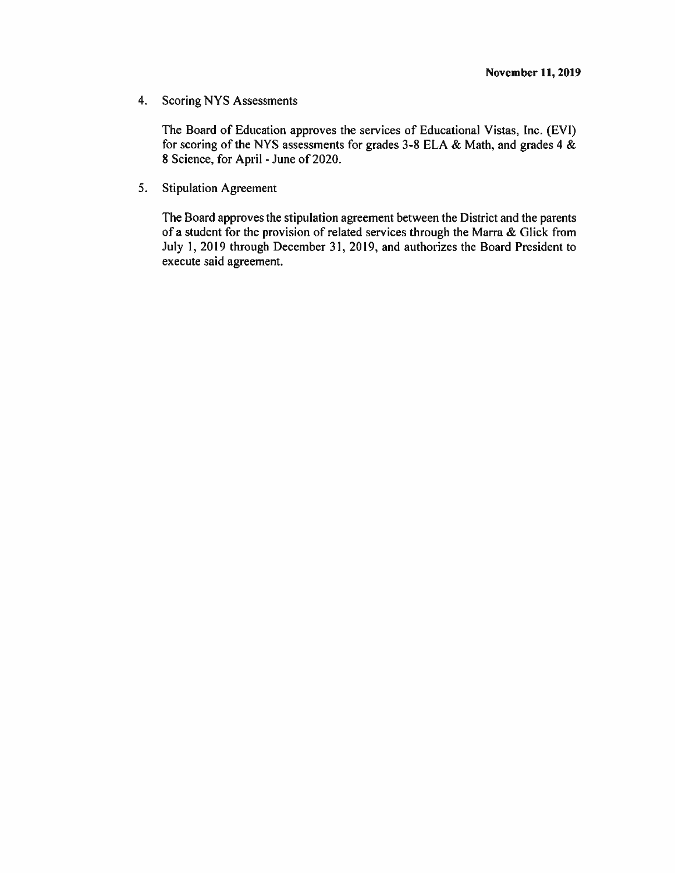4. Scoring NYS Assessments

The Board of Education approves the services of Educational Vistas. Inc. (EVI) for scoring of the NYS assessments for grades 3-8 ELA & Math, and grades 4 & 8 Science, for April - June of 2020.

5. Stipulation Agreement

The Board approves the stipulation agreemen<sup>t</sup> between the District and the parents of a student for the provision of related services through the Marra & Glick from July 1, 2019 through December 31, 2019. and authorizes the Board President to execute said agreement.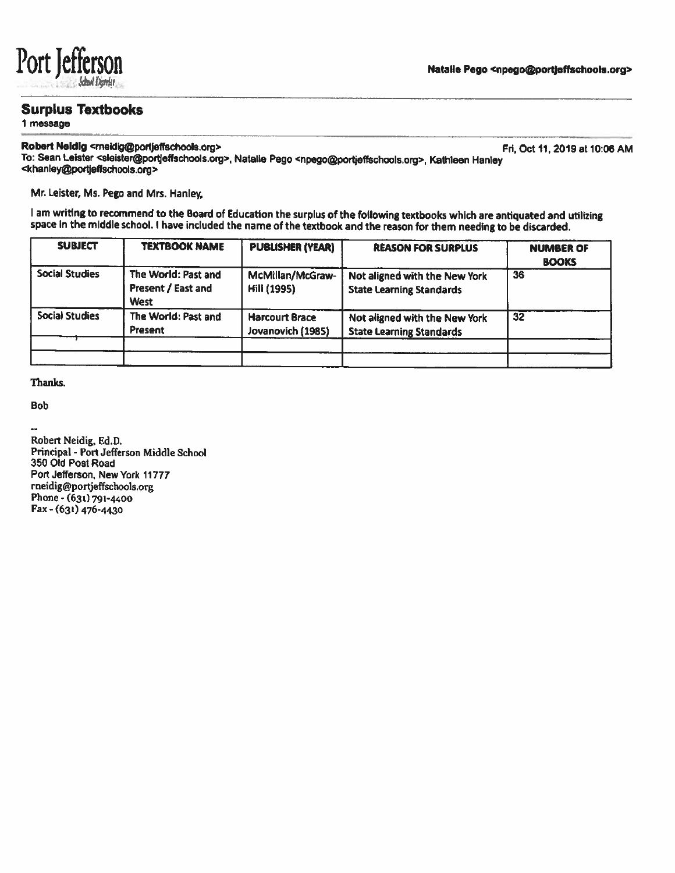# Port Jefferson Natalie Pego <npego@portjeffschools.org>

## Surplus Textbooks

1 message

#### Robert Neldig <rneidig@portjeffschools.org> Fri. Oct 11, 2019 at 10:06 AM

To: Sean Leister <sleister@portjeffschools.org>, Natalie Pego <npego@portjeffschools.org>, Kathleen Hanley<br><khaniey@portjeffschools.org>

Mr. Leister, Ms. Pego and Mrs. Hanley,

<sup>I</sup> am writing to recommend to the Board of Education the surplus of the following textbooks which are antiquated and utilizing space in the middle school. <sup>I</sup> have included the name of the textbook and the reason for them needing to be discarded.

| <b>SUBJECT</b>        | <b>TEXTBOOK NAME</b>                                     | <b>PUBLISHER (YEAR)</b>                    | <b>REASON FOR SURPLUS</b>                                        | <b>NUMBER OF</b><br><b>BOOKS</b> |
|-----------------------|----------------------------------------------------------|--------------------------------------------|------------------------------------------------------------------|----------------------------------|
| <b>Social Studies</b> | The World: Past and<br>Present / East and<br><b>West</b> | McMillan/McGraw-<br><b>Hill (1995)</b>     | Not aligned with the New York<br><b>State Learning Standards</b> | 36                               |
| <b>Social Studies</b> | The World: Past and<br>Present                           | <b>Harcourt Brace</b><br>Jovanovich (1985) | Not aligned with the New York<br><b>State Learning Standards</b> | 32                               |
|                       |                                                          |                                            |                                                                  |                                  |

#### Thanks.

```
Bob
```
., Robert Neidig, Ed.D. Principal -Port Jefferson Middle School 350 Old Post Road Port Jefferson. New York 11777 rneidig@portjeffschocls.org Phone- (631) 791-4400 Fax -(631) 476-4430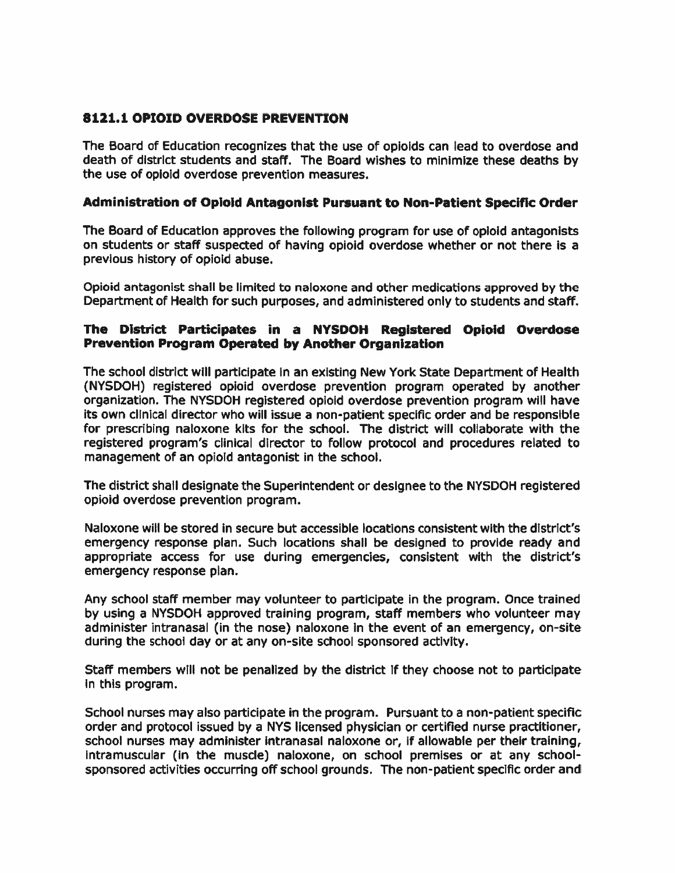## 8121.1 OPIOID OVERDOSE PREVENTION

The Board of Education recognizes that the use of opioids can lead to overdose and death of district students and staff. The Board wishes to minimize these deaths by the use of opioid overdose prevention measures.

## Administration of Oploid Antagonist Pursuant to Non-Patient Specific Order

The Board of Education approves the following program for use of opiold antagonists on students or staff suspected of having opioid overdose whether or not there is <sup>a</sup> previous history of opiold abuse.

Opioid antagonist shall be limited to naloxone and other medication5 approved by the Department of Health for such purposes, and administered only to students and staff.

## The District Participates in <sup>a</sup> NYSDOH Registered Opioid Overdose Prevention Program Operated by Another Organization

The school district will participate in an existing New York State Department of Health (NYSDOH) registered opioid overdose prevention program operated by another organization. The NYSDOH registered opioid overdose prevention program will have its own clinical director who will issue <sup>a</sup> non-patient specific order and be responsible for prescribing naloxone kits for the school. The district will collaborate with the registered program's clinical director to follow protocol and procedures related to managemen<sup>t</sup> of an opiold antagonist in the school.

The district shall designate the Superintendent or designee to the NYSDOH registered opioid overdose prevention program.

Naloxone will be stored in secure but accessible locations consistent with the district's emergency response plan. Such locations shall be designed to provide ready and appropriate access for use during emergencies, consistent with the district's emergency response plan.

Any school staff member may volunteer to participate in the program. Once trained by using a NYSDOH approved training program, staff members who volunteer may administer intranasal (in the nose) naloxone in the event of an emergency, on-site during the school day or at any on-site school sponsored activity.

Staff members will not be penalized by the district If they choose not to participate in this program.

School nurses may also participate in the program. Pursuant to <sup>a</sup> non-patient specific order and protocol issued by <sup>a</sup> NYS licensed physician or certified nurse practitioner, school nurses may administer intranasal naloxone or, if allowable per their training, intramuscular (in the muscle) naloxone, on school premises or at any school sponsored activities occurring off school grounds. The non-patient specific order and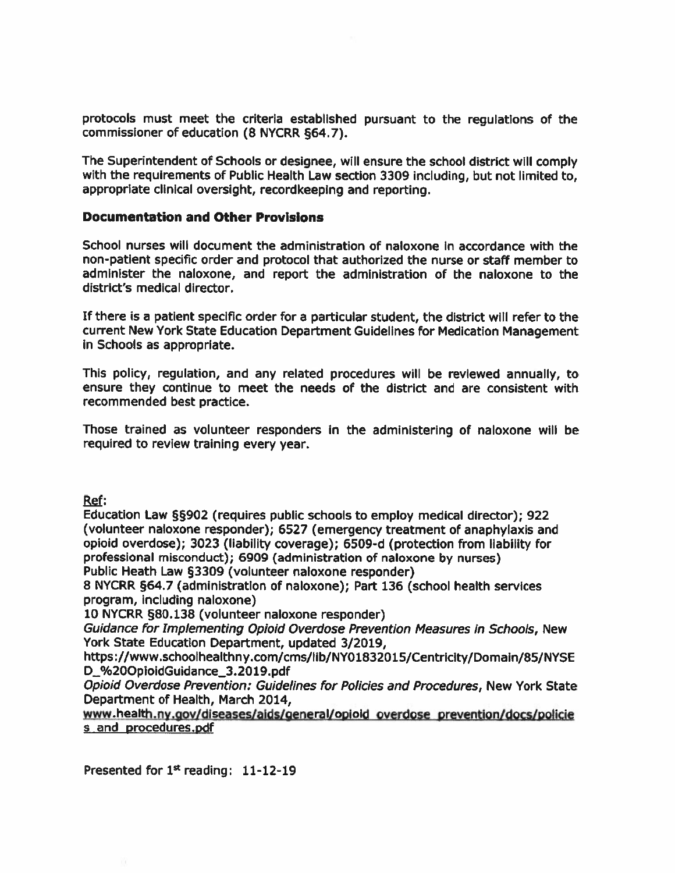protocols must meet the criteria established pursuan<sup>t</sup> to the regulations of the commissioner of education (8 NYCRR §64.7).

The Superintendent of Schools or designee, will ensure the school district will comply with the requirements of Public Health Law section 3309 including, but not limited to, appropriate clinical oversight, recordkeeping and reporting.

#### Documentation and Other Provisions

School nurses will document the administration of naloxone in accordance with the non-patient specific order and protocol that authorized the nurse or staff member to administer the naloxone, and repor<sup>t</sup> the administration of the naloxone to the district's medical director.

If there is <sup>a</sup> patient specific order for <sup>a</sup> particular student, the district will refer to the current New York State Education Department Guidelines for Medication Management in Schools as appropriate.

This policy, regulation, and any related procedures will be reviewed annually, to ensure they continue to meet the needs of the district and are consistent with recommended best practice.

Those trained as volunteer responders in the administering of naloxone will be required to review training every year.

Ref:

Education Law §§902 (requires public schools to employ medical director); 922 (volunteer naloxone responder); 6527 (emergency treatment of anaphylaxis and opioid overdose); 3023 (liability coverage); 6509-d (protection from liability for professional misconduct); 6909 (administration of naloxone by nurses) Public Heath Law §3309 (volunteer naloxone responder)

8 NYCRR §64.7 (administration of naloxone); Part 136 (school health services program, including naloxone)

10 NYCRR §80. 138 (volunteer naloxone responder)

Guidance for Implementing Opioid Overdose Prevention Measures in Schools, New York State Education Department, updated 3/2019,

https://www.schoolhealthny.com/cms/lib/NY01832015/Centricity/Domain/85/NYSE D\_%200pioidGuidance\_3.2019.pdf

Qpioid Overdose Prevention: Guidelines for Policies and Procedures, New York State Department of Health, March 2014,

www.health.ny.gov/diseases/aids/general/opioid overdose prevention/docs/policie <sup>s</sup> and procedures.pdf

Presented for  $1<sup>st</sup>$  reading:  $11-12-19$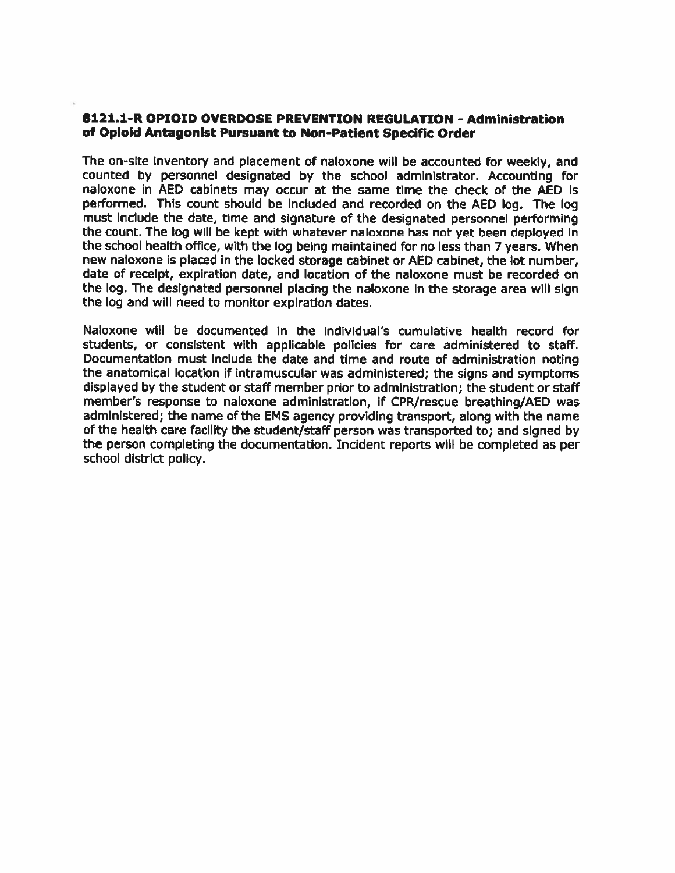## 8121.j-R OPIOID OVERDOSE PREVENTION REGULATION - Administration of Opioid Antagonist Pursuant to Non-Patient Specific Order

The on-site inventory and <sup>p</sup>lacement of naloxone will be accounted for weekly, and counted by personne<sup>l</sup> designated by the school administrator. Accounting for naloxone in AED cabinets may occur at the same time the check of the AED is performed. This count should be included and recorded on the AED log. The log must include the date, time and signature of the designated personne<sup>l</sup> performing the count. The log will be kept with whatever naloxone has not ye<sup>t</sup> been deployed in the school health office, with the log being maintained for no less than 7 years. When new naloxone is <sup>p</sup>laced in the locked storage cabinet or AED cabinet, the lot number, date of receipt, expiration date, and location of the naloxone must be recorded on the log. The designated personne<sup>l</sup> <sup>p</sup>lacing the naloxone in the storage area will sign the log and will need to monitor expiration dates.

Naloxone will be documented in the individual's cumulative health record for students, or consistent with applicable policies for care administered to staff Documentation must include the date and time and route of administration noting the anatomical location if intramuscular was administered; the signs and symptoms displayed by the student or staff member prior to administration; the student or staff member's response to naloxone administration, if CPR/rescue breathing/AED was administered; the name of the EMS agency providing transport, along with the name of the health care facility the student/staff person was transported to; and signed by the person completing the documentation. Incident reports will be completed as per school district policy.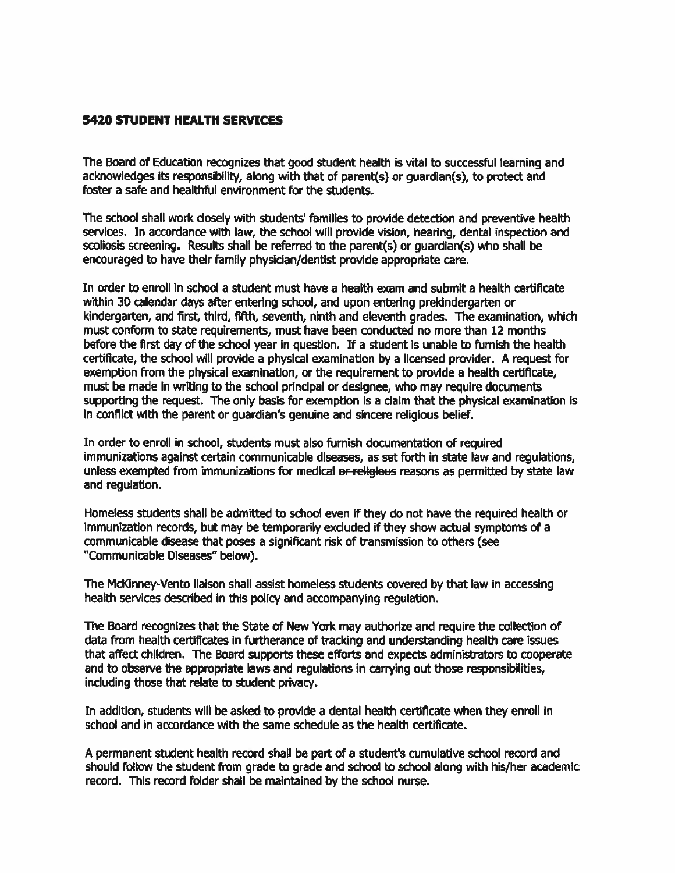#### 5420 STUDENT HEALTH SERVICES

The Board of Education recognizes that good student health is vital to successful learning and acknowledges its responsibility, along with that of parent(s) or guardian(s), to protect and foster <sup>a</sup> safe and healthful environment for the students.

The school shall work dosely with students' families to provide detection and preventive health services. In accordance with law, the school will provide vision, hearing, dental inspection and scoliosis screening. Results shall be referred to the parent(s) or guardian(s) who shall be encouraged to have their family physician/dentist provide appropriate care.

In order to enroll in school <sup>a</sup> student must have <sup>a</sup> health exam and submit <sup>a</sup> health certificate within 30 calendar days after entering school, and upon entering prekindergarten or kindergarten, and first, third, fifth, seventh, ninth and eleventh grades. The examination, which must conform to state requirements, must have been conducted no more than 12 months before the first day of the school year in question. If <sup>a</sup> student is unable to furnish the health certificate, the school will provide <sup>a</sup> physical examination by <sup>a</sup> licensed provider. A reques<sup>t</sup> for exemption from the physical examination, or the requirement to provide <sup>a</sup> health certificate, must be made in writing to the school principal or designee, who may require documents supporting the request. The only basis for exemption is a claim that the physical examination is in conflict with the paren<sup>t</sup> or guardian's genuine and sincere religious belief.

In order to enroll in school, students must also furnish documentation of required immunizations against certain communicable diseases, as set forth in state law and regulations, unless exempted from immunizations for medical or religious reasons as permitted by state law and regulation.

Homeless students shall be admitted to school even if they do not have the required health or immunization records, but may be temporarily excluded if they show actual symptoms of <sup>a</sup> communicable disease that poses <sup>a</sup> significant risk of transmission to others (see "Communicable Diseases" below).

The McKinney-Vento liaison shall assist homeless students covered by that law in accessing health services described in this policy and accompanying regulation.

The Board recognizes that the State of New York may authorize and require the collection of data from health certificates in furtherance of tracking and understanding health care issues that affect children. The Board supports these efforts and expects administrators to cooperate and to observe the appropriate laws and regulations in carrying out those responsibilities, including those that relate to student privacy.

In addition, students will be asked to provide <sup>a</sup> dental health certificate when they enroll in school and in accordance with the same schedule as the health certificate.

A permanen<sup>t</sup> student health record shall be par<sup>t</sup> of <sup>a</sup> student's cumulative school record and should follow the student from grade to grade and school to school along with his/her academic record. This record folder shall be maintained by the school nurse.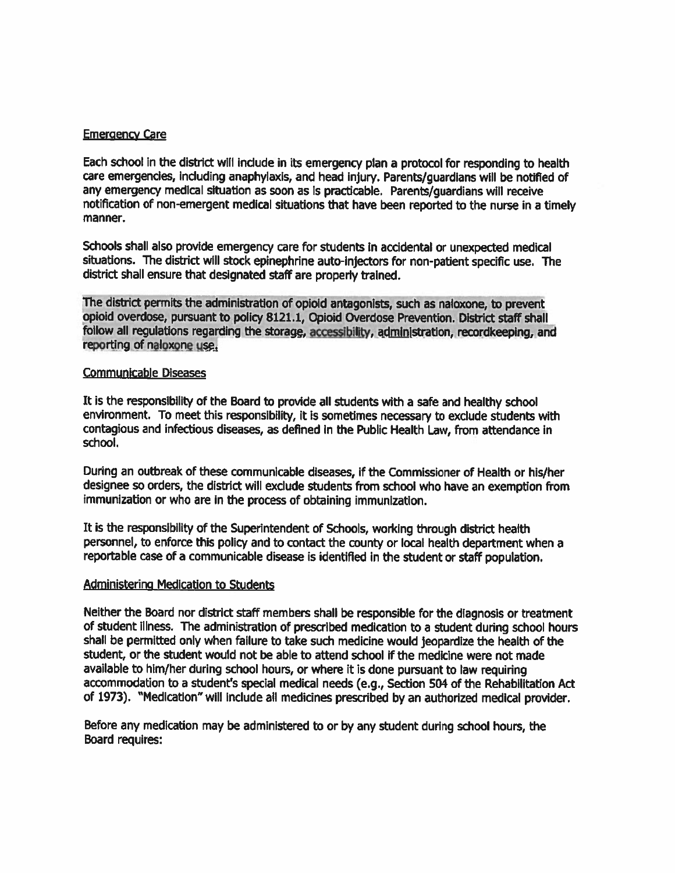#### Emeraencv Care

Each school in the district will include in its emergency <sup>p</sup>lan <sup>a</sup> protocol for responding to health care emergencies, including anaphylaxis, and head injury. Parents/guardians will be notified of any emergency medical situation as soon as is practicable. Parents/guardians will receive notification of non-emergen<sup>t</sup> medical situations that have been reported to the nurse in <sup>a</sup> timely manner.

Schools shall also provide emergency care for students in accidental or unexpected medical situations. The district will stock epinephrine auto-injectors for non-patient specific use. The district shall ensure that designated staff are properly trained.

The district permits the administration of opioid antagonists, such as naloxone, to preven<sup>t</sup> opioid overdose, pursuan<sup>t</sup> to policy 8121.1, Opioid Overdose Prevention. District staff shall follow all regulations regarding the storage, accessibility, administration, recordkeeping, and reporting of naloxone use.

#### Communicable Diseases

It is the responsibility of the Board to provide all students with <sup>a</sup> safe and healthy school environment. To meet this responsibility, it is sometimes necessary to exclude students with contagious and infectious diseases, as defined in the Public Health Law, from attendance in school,

During an outbreak of these communicable diseases, if the Commissioner of Health or his/her designee so orders, the district will exclude students from school who have an exemption from immunization or who are in the process of obtaining immunization.

It is the responsibility of the Superintendent of Schools, working through district health personnel, to enforce this policy and to contact the county or local health department when <sup>a</sup> reportable case of <sup>a</sup> communicable disease is identified in the student or staff population.

#### Administering Medication to Students

Neither the Board nor district staff members shall be responsible for the diagnosis or treatment of student illness. The administration of prescribed medication to <sup>a</sup> student during school hours shall be permitted only when failure to take such medicine would jeopardize the health of the student, or the student would not be able to attend school if the medicine were not made available to him/her during school hours, or where it is done pursuan<sup>t</sup> to law requiring accommodation to <sup>a</sup> student's special medical needs (e.g., Section 504 of the Rehabilitation Act of 1973). "Medication" will include all medicines prescribed by an authorized medical provider.

Before any medication may be administered to or by any student during school hours, the Board requires: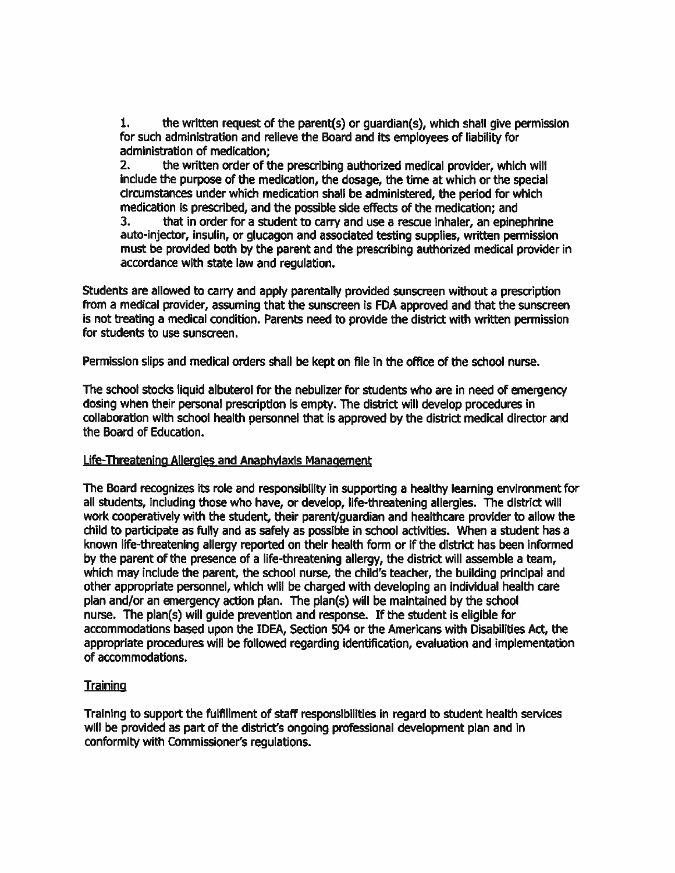1. the written reques<sup>t</sup> of the parent(s) or guardian(s), which shall give permission for such administration and relieve the Board and its employees of liability for administration of medication;

2. the written order of the prescribing authorized medical provider, which will include the purpose of the medication, the dosage, the time at which or the special circumstances under which medication shall be administered, the period for which medication Is prescribed, and the possible side effects of the medication; and

3. that in order for <sup>a</sup> student to carry and use <sup>a</sup> rescue inhaler, an epinephrine auto-injector, insulin, or glucagon and associated testing supplies, written permission must be provided both by the paren<sup>t</sup> and the prescribing authorized medical provider in accordance with state law and regulation.

Students are allowed to carry and apply parentally provided sunscreen without <sup>a</sup> prescription from <sup>a</sup> medical provider, assuming that the sunscreen is FDA approved and that the sunscreen is not treating <sup>a</sup> medical condition. Parents need to provide the district with written permission for students to use sunscreen.

Permission slips and medical orders shall be kept on file in the office of the school nurse.

The school stocks liquid albuterol for the nebulizer for students who are in need of emergency dosing when their personal prescription is empty. The district will develop procedures in collaboration with school health personne<sup>l</sup> that is approved by the district medical director and the Board of Education.

#### Life-Threatening Allergies and Anaphylaxis Management

The Board recognizes its role and responsibility in supporting <sup>a</sup> healthy learning environment for all students, including those who have, or develop, life-threatening allergies. The district will work cooperatively with the student, their parent/guardian and healthcare provider to allow the child to participate as fully and as safely as possible in school activities. When <sup>a</sup> student has <sup>a</sup> known life-threatening allergy reported on their health form or if the district has been informed by the paren<sup>t</sup> of the presence of <sup>a</sup> life-threatening allergy, the district will assemble <sup>a</sup> team, which may include the parent, the school nurse, the child's teacher, the building principal and other appropriate personnel, which will be charged with developing an individual health care plan and/or an emergency action plan. The plan(s) will be maintained by the school nurse. The plan(s) will guide prevention and response. If the student is eligible for accommodations based upon the IDEA, Section 504 or the Americans with Disabilities Act, the appropriate procedures will be followed regarding identification, evaluation and implementation of accommodations.

#### **Training**

Training to suppor<sup>t</sup> the fulfillment of staff responsibilities in regard to student health services will be provided as par<sup>t</sup> of the district's ongoing professional development <sup>p</sup>lan and in conformity with Commissioner's regulations.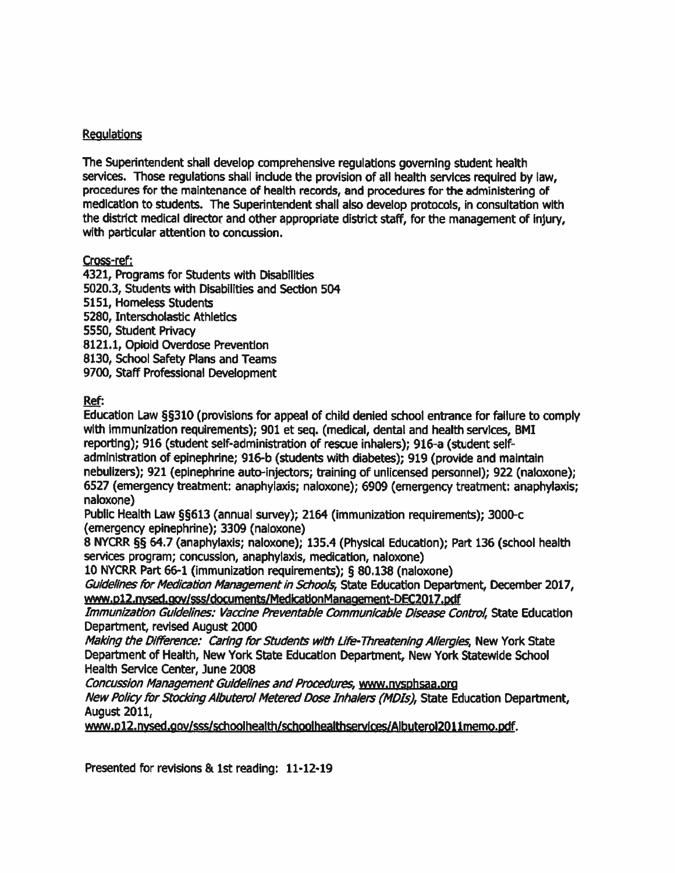## Regulations

The Superintendent shall develop comprehensive regulations governing student health services. Those regulations shall indude the provision of all health services required by law, procedures for the maintenance of health records, and procedures for the administering of medication to students. The Superintendent shall also develop protocols, in consultation with the district medical director and other appropriate district staff, for the managemen<sup>t</sup> of injury, with particular attention to concussion.

Cross-ref:

4321, Programs for Students with Disabilities 5020.3, Students with Disabilities and Section 504 5151, Homeless Students 5280, Interscholastic Athletics 5550, Student Privacy 8121.1, Opioid Overdose Prevention 8130, School Safety Plans and Teams 9700, Staff Professional Development

Ref:

Education Law §310 (provisions for appeal of child denied school entrance for failure to comply with immunization requirements); 901 et seq. (medical, dental and health services, BMI reporting); 916 (student self-administration of rescue inhalers); 916-a (student selfadministration of epinephrine; 916-b (students with diabetes); 919 (provide and maintain nebulizers); 921 (epinephrine auto-injectors; training of unlicensed personnel); 922 (naloxone); 6527 (emergency treatment: anaphylaxis; naloxone); 6909 (emergency treatment: anaphylaxis; naloxone)

Public Health Law §613 (annual survey); 2164 (immunization requirements); 3000-c (emergency epinephrine); 3309 (naloxone)

8 NYCRR §§ 64.7 (anaphylaxis; naloxone); 135.4 (Physical Education); Part 136 (school health services program; concussion, anaphylaxis, medication, naloxone)

<sup>10</sup> NYCRR Part 66-1 (immunization requirements); § 80.138 (naloxone)

Guidelines for Medication Management in Schools, State Education Department, December 2017, www.p12.nvsed.gov/sss/documents/MedicationManagement-DEC2017.pdf

Immunization Guidelines: Vaccine Preventable Communicable Disease Control, State Education Department, revised August 2000

Making the Difference: Caring for Students with Life- Threatening Allergies, New York State Department of Health, New York State Education Department, New York Statewide School Health Service Center, June 2008

Concussion Management Guidelines and Procedures, www.nysphsaa.org

New Policy for Stocking Albuterol Metered Dose Inhalers (MDIS), State Education Department, August 2011,

www.p12.nysed.gov/sss/schoolhealth/schoolhealthservices/Albuterol2011memo.pdf.

Presented for revisions & 1st reading: 11-12-19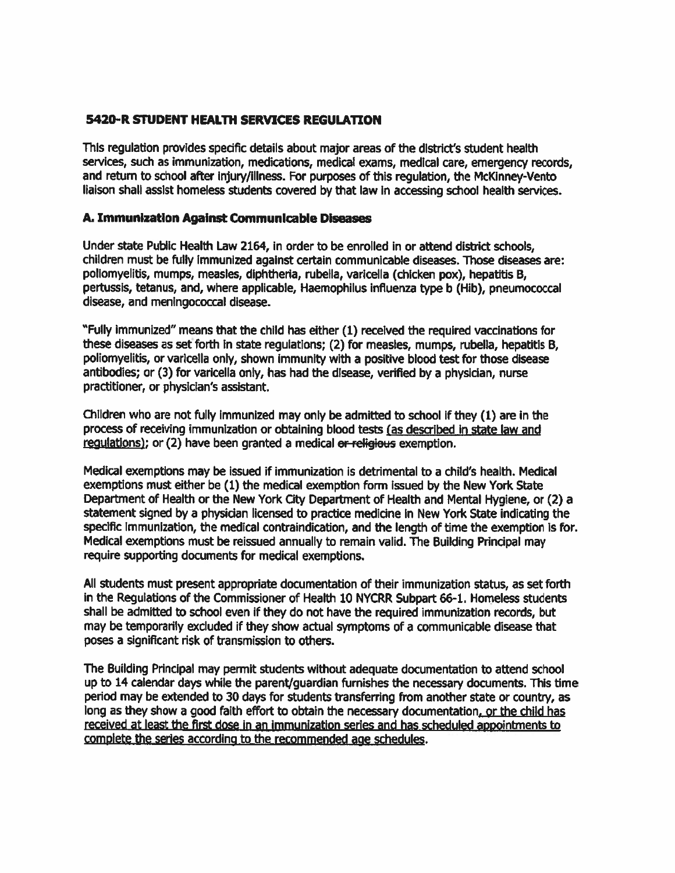## 5420-R STUDENT HEALTh SERVICES REGULATION

This regulation provides specific details about major areas of the district's student health services, such as immunization, medications, medical exams, medical care, emergency records, and return to school after injury/illness. For purposes of this regulation, the McKinney-Vento liaison shall assist homeless students covered by that law in accessing school health services.

## A. Immunization Against Communicable Diseases

Under state Public Health Law 2164, in order to be enrolled in or attend district schools, children must be fully immunized against certain communicable diseases. Those diseases are: poliomyelitis, mumps, measles, diphtheria, rubella, varicella (chicken pox), hepatitis B, pertussis, tetanus, and, where applicable, Haemophilus influenza type <sup>b</sup> (Hib), pneumococca<sup>l</sup> disease, and meningococcal disease.

"Fully immunized" means that the child has either (1) received the required vaccinations for these diseases as set forth in state regulations; (2) for measles, mumps, rubella, hepatitis B, poliomyelitis, or varicella only, shown immunity with <sup>a</sup> positive blood test for those disease antibodies; or (3) for varicella only, has had the disease, verified by <sup>a</sup> <sup>p</sup>hysician, nurse practitioner, or physician's assistant.

Children who are not fully immunized may only be admitted to school if they (1) are in the process of receiving immunization or obtaining blood tests (as described in state law and requiations); or (2) have been granted a medical or religious exemption.

Medical exemptions may be issued if immunization is detrimental to <sup>a</sup> child's health. Medical exemptions must either be (1) the medical exemption form issued by the New York State Department of Health or the New York City Department of Health and Mental Hygiene, or (2) <sup>a</sup> statement signed by <sup>a</sup> physician licensed to practice medicine in New York State indicating the specific immunization, the medical contraindication, and the length of time the exemption is for. Medical exemptions must be reissued annually to remain valid. The Building Principal may require supporting documents for medical exemptions.

All students must presen<sup>t</sup> appropriate documentation of their immunization status, as set forth in the Regulations of the Commissioner of Health <sup>10</sup> NYCRR Subpart 66-1. Homeless students shall be admitted to school even if they do not have the required immunization records, but may be temporarily excluded if they show actual symptoms of <sup>a</sup> communicable disease that poses <sup>a</sup> significant risk of transmission to others.

The Building Principal may permit students without adequate documentation to attend school up to <sup>14</sup> calendar days while the parent/guardian furnishes the necessary documents. This time period may be extended to <sup>30</sup> days for students transferring from another state or country, as long as they show a good faith effort to obtain the necessary documentation, or the child has received at least the first dose in an Immunization series and has scheduled aooointments to comolete the series according to the recommended age schedules.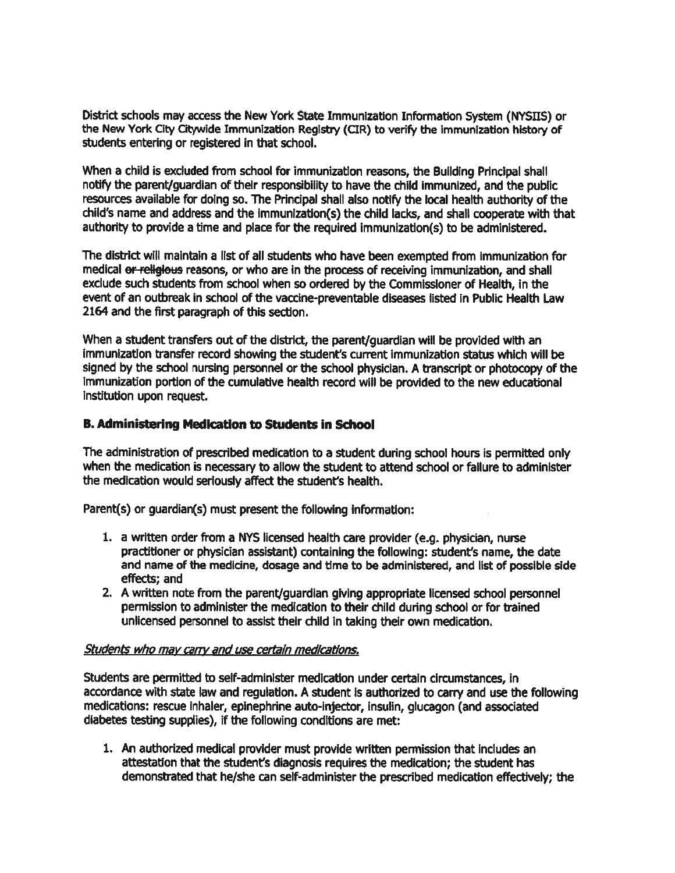District schools may access the New York State Immunization Information System (NYSHS) or the New York City Citywide Immunization Registry (CIR) to verify the immunization history of students entering or registered in that school.

When <sup>a</sup> child is excluded from school for immunization reasons, the Building Principal shall notify the parent/guardian of their responsibility to have the child immunized, and the public resources available for doing so. The Principal shall also notify the local health authority of the child's name and address and the immunization(s) the child lacks, and shall cooperate with that authority to provide <sup>a</sup> time and place for the required immunization(s) to be administered.

The district will maintain <sup>a</sup> list of all students who have been exempted from immunization for medical or religious reasons, or who are in the process of receiving immunization, and shall exclude such students from school when so ordered by the Commissioner of Health, in the event of an outbreak in school of the vaccine-preventable diseases listed in Public Health Law 2164 and the first paragraph of this section.

When <sup>a</sup> student transfers out of the district, the parent/guardian will be provided wIth an immunization transfer record showing the student's current immunization status which will be signed by the school nursing personne<sup>l</sup> or the school <sup>p</sup>hysician. <sup>A</sup> transcript or <sup>p</sup>hotocopy of the immunization portion of the cumulative health record will be provided to the new educational institution upon request.

## B. Administering Medication to Students in School

The administration of prescribed medication to <sup>a</sup> student during school hours is permitted only when the medication is necessary to allow the student to attend school or failure to administer the medication would seriously affect the student's health.

Parent(s) or guardian(s) must presen<sup>t</sup> the following information:

- 1. <sup>a</sup> written order from <sup>a</sup> NYS licensed health care provider (e.g. physician, nurse practitioner or physician assistant) containing the following: student's name, the date and name of the medicine, dosage and time to be administered, and list of possible side effects; and
- 2. <sup>A</sup> written note from the parent/guardian <sup>g</sup>iving appropriate licensed school personne<sup>l</sup> permission to administer the medication to their child during school or for trained unlicensed personnel to assist their child in taking their own medication.

#### Students who may carry and use certain medications.

Students are permitted to self-administer medication under certain circumstances, in accordance with state law and regulation. <sup>A</sup> student is authorized to carry and use the following medications: rescue inhaler, epinephrine auto-injector, insulin, <sup>g</sup>lucagon (and associated diabetes testing supplies), if the following conditions are met:

1. An authorized medical provider must provide written permission that includes an attestation that the student's diagnosis requires the medication; the student has demonstrated that he/she can self-administer the prescribed medication effectively; the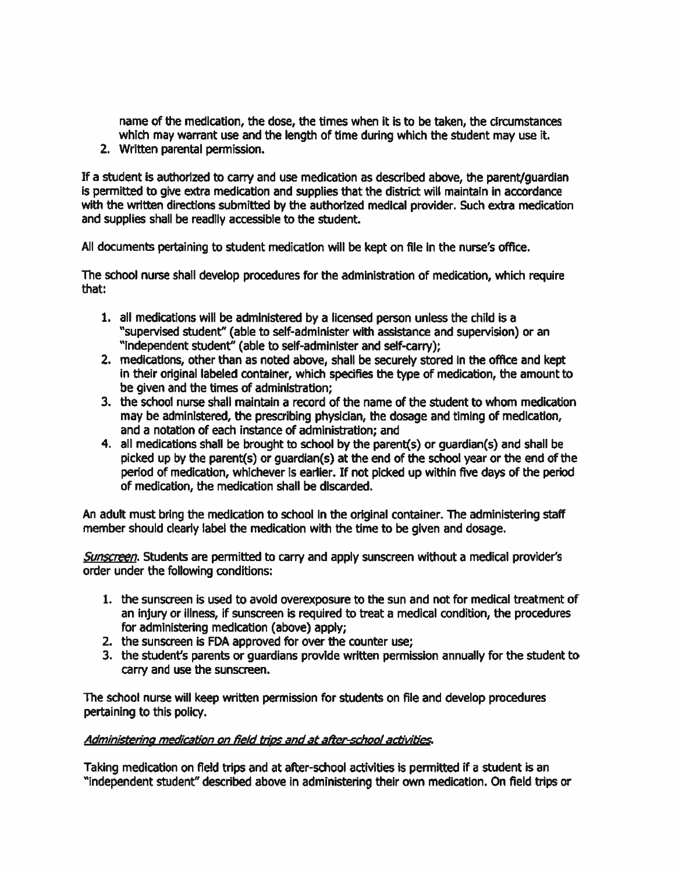name of the medication, the dose, the times when it is to be taken, the circumstances which may warrant use and the length of time during which the student may use it.

2. Written parental permission.

If <sup>a</sup> student is authorized to carry and use medication as described above, the parent/guardian is permitted to give extra medication and supplies that the district will maintain in accordance with the written directions submitted by the authorized medical provider. Such extra medication and supplies shall be readily accessible to the student.

All documents pertaining to student medication will be kept on file in the nurse's office.

The school nurse shall develop procedures for the administration of medication, which require that:

- 1. alt medications will be administered by <sup>a</sup> licensed person unless the child is <sup>a</sup> "supervised student" (able to self-administer with assistance and supervision) or an "independent student" (able to self-administer and self-carry);
- 2. medications, other than as noted above, shall be securely stored in the office and kept in their original labeled container, which specifies the type of medication, the amount to be given and the times of administration;
- 3. the school nurse shall maintain <sup>a</sup> record of the name of the student to whom medication may be administered, the prescribing physician, the dosage and timing of medication, and <sup>a</sup> notation of each instance of administration; and
- 4. all medications shall be brought to school by the parent(s) or guardian(s) and shall be picked up by the parent(s) or guardian(s) at the end of the school year or the end of the period of medication, whichever is earlier. If not <sup>p</sup>icked up within five days of the period of medication, the medication shall be discarded.

An adult must bring the medication to school in the original container. The administering staff member should clearly label the medication with the time to be given and dosage.

Sunscreen. Students are permitted to carry and apply sunscreen without a medical provider's order under the following conditions:

- 1. the sunscreen is used to avoid overexposure to the sun and not for medical treatment of an injury or illness, if sunscreen is required to treat <sup>a</sup> medical condition, the procedures for administering medication (above) apply;
- 2. the sunscreen is FDA approved for over the counter use;
- 3. the student's parents or guardians provide written permission annually for the student to carry and use the sunscreen.

The school nurse will keep written permission for students on file and develop procedures pertaining to this policy.

#### Administering medication on field trios and at after-school activities.

Taking medication on field trips and at after-school activities is permitted if <sup>a</sup> student is an "independent student" described above in administering their own medication. On field trips or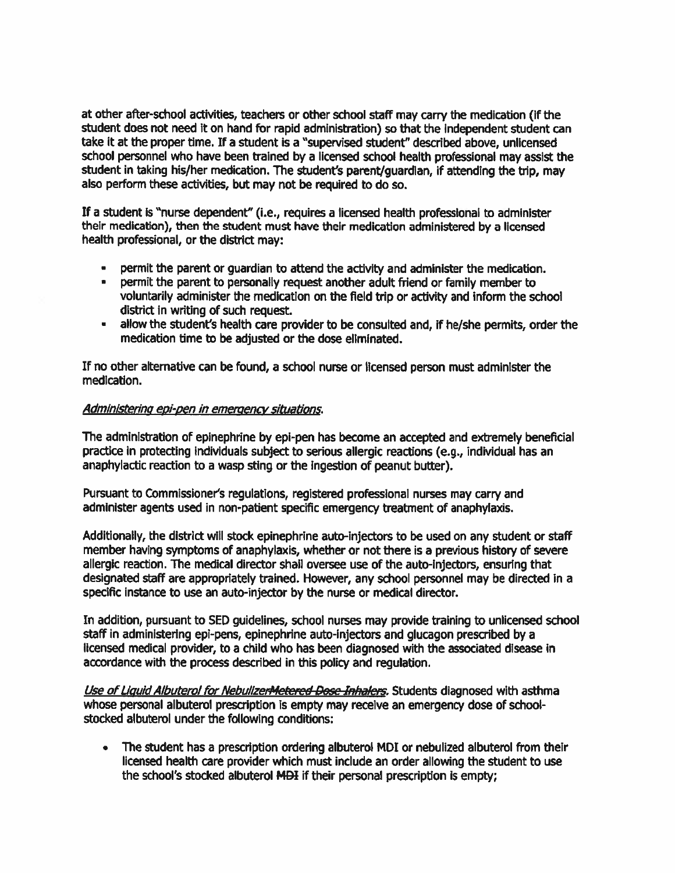at other after-school activities, teachers or other school staff may carry the medication (if the student does not need it on hand for rapid administration) so that the independent student can take it at the proper time. If a student is a "supervised student" described above, unlicensed school personne<sup>l</sup> who have been trained by <sup>a</sup> licensed school health professional may assist the student in taking his/her medication. The student's parent/guardian, if attending the trip, may also perform these activities, but may not be required to do so.

If <sup>a</sup> student is "nurse dependent" (i.e., requires <sup>a</sup> licensed health professional to administer their medication), then the student must have their medication administered by <sup>a</sup> licensed health professional, or the district may:

- •permit the paren<sup>t</sup> or guardian to attend the activity and administer the medication.
- permit the paren<sup>t</sup> to personally reques<sup>t</sup> another adult friend or family member to voluntarily administer the medication on the field trip or activity and inform the school district in writing of such request.
- allow the student's health care provider to be consulted and, if he/she permits, order the medication time to be adjusted or the dose eliminated.

If no other alternative can be found, <sup>a</sup> school nurse or licensed person must administer the medication.

#### Administering epi-pen in emergency situations.

The administration of epinephrine by epi-pen has become an accepted and extremely beneficial practice in protecting individuals subject to serious allergic reactions (e.g., individual has an anaphylactic reaction to <sup>a</sup> wasp sting or the ingestion of peanu<sup>t</sup> butter).

Pursuant to Commissioner's regulations, registered professional nurses may carry and administer agents used in non-patient specific emergency treatment of anaphylaxis.

Additionally, the district will stock epinephrine auto-injectors to be used on any student or staff member having symptoms of anaphylaxis, whether or not there is <sup>a</sup> previous history of severe allergic reaction. The medical director shall oversee use of the auto-injectors, ensuring that designated staff are appropriately trained. However, any school personnel may be directed in <sup>a</sup> specific instance to use an auto-injector by the nurse or medical director.

In addition, pursuan<sup>t</sup> to SED guidelines, school nurses may provide training to unlicensed school staff in administering epi-pens, epinephrine auto-injectors and glucagon prescribed by <sup>a</sup> licensed medical provider, to <sup>a</sup> child who has been diagnosed with the associated disease in accordance with the process described in this policy and regulation.

Use of Liquid Albuterol for NebulizerMetered Dose Inhalers. Students diagnosed with asthma whose persona<sup>l</sup> albuterol prescription is empty may receive an emergency dose of schoolstocked albuterol under the following conditions:

• The student has <sup>a</sup> prescription ordering albuterol MDI or nebulized albuterol from their licensed health care provider which must include an order allowing the student to use the school's stocked albuterol MDI if their personal prescription is empty;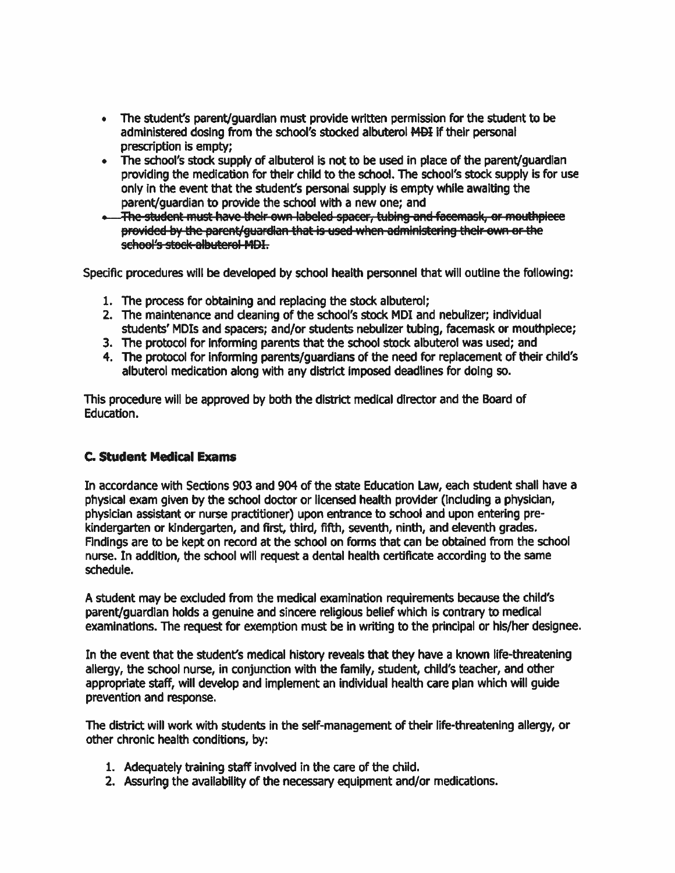- The student's parent/guardian must provide written permission for the student to be administered dosing from the school's stocked albuterol MDI if their personal prescription is empty;
- The school's stock supply of albuterol is not to be used in place of the parent/guardian providing the medication for their child to the school. The school's stock supply is for use only in the event that the student's personal supply is empty while awaiting the parent/guardian to provide the school with <sup>a</sup> new one; and
- . The student must have their own labeled spacer, tubing and facemask, or mouthpiece provided by the parent/quardian that is used when administering their own or the school's stock albutcrol MDI.

Specific procedures will be developed by school health personnel that will outline the following:

- 1. The process for obtaining and replacing the stock albuterol;
- 2. The maintenance and cleaning of the school's stock MDI and nebulizer; individual students' MDI5 and spacers; and/or students nebulizer tubing, facemask or mouthpiece;
- 3. The protocol for informing parents that the school stock albuterol was used; and
- 4. The protocol for informing parents/guardians of the need for replacement of their child's albuterol medication along with any district imposed deadlines for doing so.

This procedure will be approved by both the district medical director and the Board of Education.

## C. Student Medical Exams

In accordance with Sections 903 and 904 of the state Education Law, each student shall have <sup>a</sup> physical exam given by the school doctor or licensed health provider (including <sup>a</sup> physician, physician assistant or nurse practitioner) upon entrance to school and upon entering pre kindergarten or kindergarten, and first, third, fifth, seventh, ninth, and eleventh grades. Findings are to be kept on record at the school on forms that can be obtained from the school nurse. In addition, the school will reques<sup>t</sup> <sup>a</sup> dental health certificate according to the same schedule.

A student may be excluded from the medical examination requirements because the child's parent/guardian holds <sup>a</sup> genuine and sincere religious belief which is contrary to medical examinations. The reques<sup>t</sup> for exemption must be in writing to the principal or his/her designee.

In the event that the student's medical history reveals that they have <sup>a</sup> known life-threatening allergy, the school nurse, in conjunction with the family, student, child's teacher, and other appropriate staff, will develop and implement an individual health care plan which will guide prevention and response.

The district will work with students in the self-management of their life-threatening allergy, or other chronic health conditions, by:

- 1. Adequately training staff involved in the care of the child.
- 2. Assuring the availability of the necessary equipment and/or medications.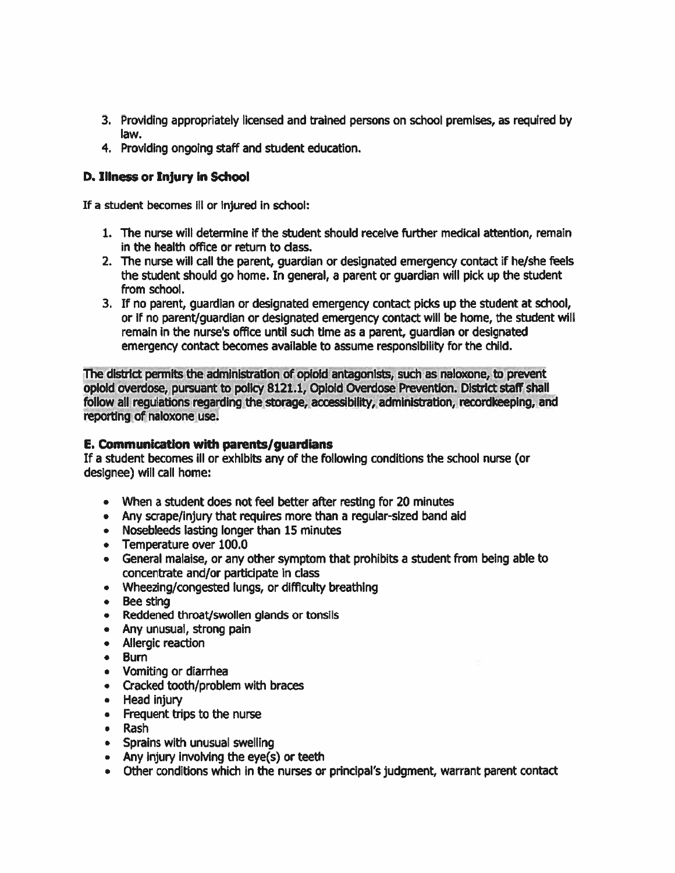- 3. Providing appropriately licensed and trained persons on school premises, as required by law.
- 4. Providing ongoing staff and student education.

## D. Illness or Injury in School

If <sup>a</sup> student becomes ill or injured in school:

- 1. The nurse will determine If the student should receive further medical attention, remain in the health office or return to class.
- 2. The nurse will call the parent, guardian or designated emergency contact if he/she feels the student should go home. In general, <sup>a</sup> paren<sup>t</sup> or guardian will pick up the student from school.
- 3. If no parent, guardian or designated emergency contact picks up the student at school, or if no parent/guardian or designated emergency contact will be home, the student will remain in the nurse's office until such time as <sup>a</sup> parent, guardian or designated emergency contact becomes available to assume responsibility for the child.

The dIstrict permits the administration of opiold antagonists, such as naloxone, to preven<sup>t</sup> oplold overdose, pursuan<sup>t</sup> to policy 8121.1, Oplold Overdose Prevention. District staff shall follow all regulations regarding the storage, accessibility, administration, recordkeeplng, and reporting of naloxone use.

## E. Communication with parents/guardians

If <sup>a</sup> student becomes ill or exhibits any of the following conditions the school nurse (or designee) will call home:

- When <sup>a</sup> student does not feel better after resting for 20 minutes
- Any scrape/injury that requires more than <sup>a</sup> regular-sized band aid
- Nosebleeds lasting longer than 15 minutes
- Temperature over 100.0
- General malaise, or any other symptom that prohibits <sup>a</sup> student from being able to concentrate and/or participate in class
- Wheezing/congested lungs, or difficulty breathing
- Bee sting
- Reddened throat/swollen glands or tonsils
- Any unusual, strong pain
- Allergic reaction
- Burn
- Vomiting or diarrhea
- Cracked tooth/problem with braces
- Head injury
- Frequent trips to the nurse
- Rash
- Sprains with unusual swelling
- Any injury involving the eye(s) or teeth
- Other conditions which in the nurses or principal's judgment, warrant paren<sup>t</sup> contact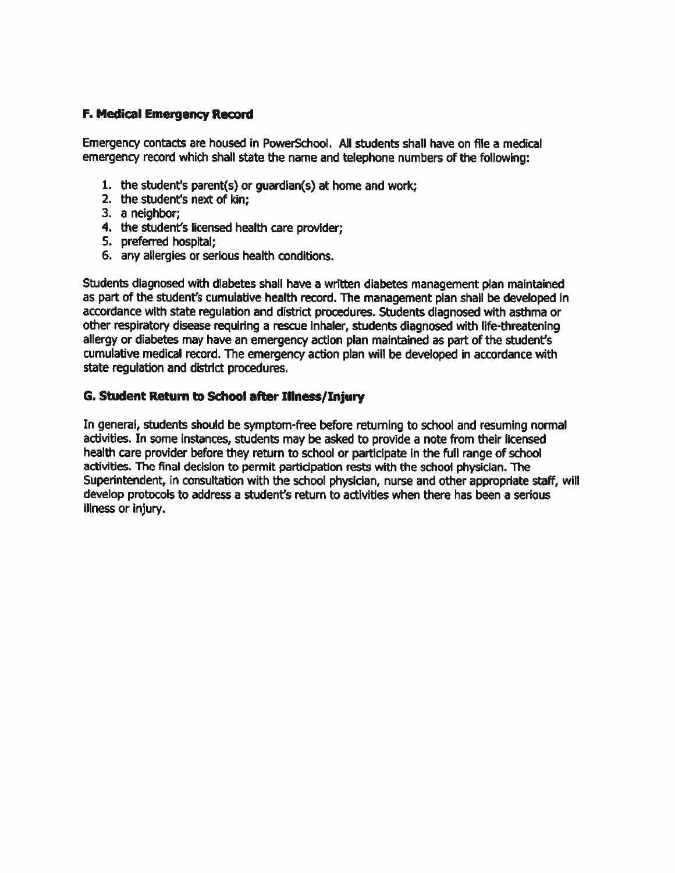## F. Medical Emergency Record

Emergency contacts are housed in Powerschool, All students shall have on file <sup>a</sup> medical emergency record which shall state the name and telephone numbers of the following:

- 1. the student's parent(s) or guardian(s) at home and work;
- 2. the student's next of kin;
- 3. <sup>a</sup> neighbor;
- 4. the student's licensed health care provider;
- 5. preferred hospital;
- 6. any allergies or serious health conditions.

Students diagnosed with diabetes shall have <sup>a</sup> written diabetes managemen<sup>t</sup> plan maintained as par<sup>t</sup> of the student's cumulative health record. The managemen<sup>t</sup> <sup>p</sup>lan shall be developed in accordance with state regulation arid district procedures. Students diagnosed with asthma or other respiratory disease requiring <sup>a</sup> rescue inhaler, students diagnosed with life-threatening allergy or diabetes may have an emergency action <sup>p</sup>lan maintained as par<sup>t</sup> of the student's cumulative medical record. The emergency action <sup>p</sup>lan will be developed in accordance with state regulation and district procedures.

## G. Student Return to School after Illness/Injury

In general, students should be symptom-free before returning to school and resuming normal activities, In some instances, students may be asked to provide <sup>a</sup> note from their licensed health care provider before they return to school or participate in the full range of school activities. The final decision to permit participation rests with the school <sup>p</sup>hysician. The Superintendent, in consultation with the school <sup>p</sup>hysician, nurse and other appropriate staff, will develop protocols to address <sup>a</sup> student's return to activities when there has been <sup>a</sup> serious illness or injury.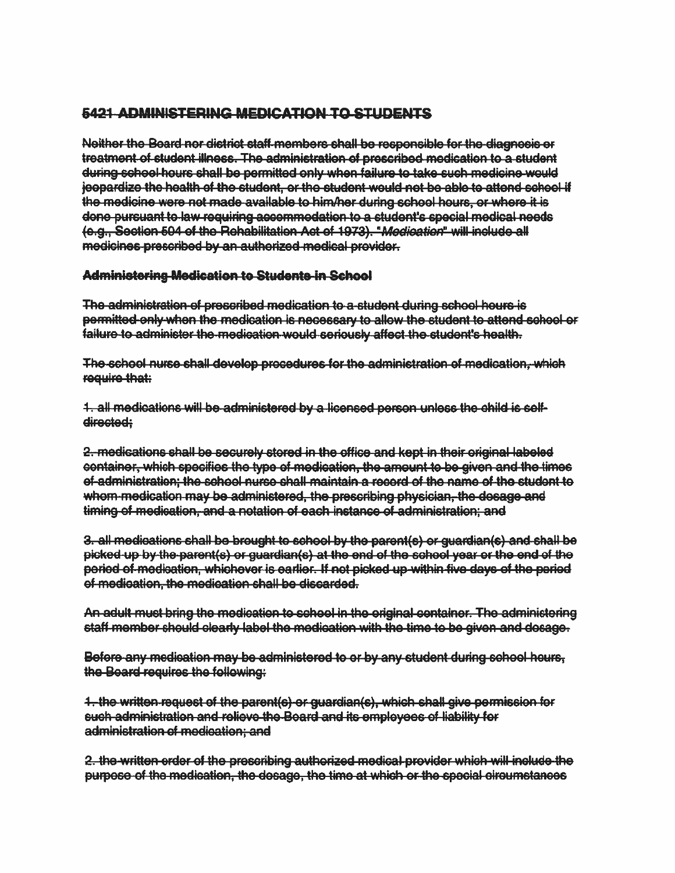# 5421 ADMINISTERING MEDICATION TO STUDENTS

Noithor the Board nor district staff members shall bo responsible for the diagnocic or treatment of student illness. The administration of prescribed medication to a student during school hours shall bo permittod only when failure to take such medicine would jeopardize the health of the otudont, or the student would not be able to attend school if the medicine were not made availablo to him/her during school hours, or whore it is dono pursuan<sup>t</sup> to law requiring accommodation to <sup>a</sup> student's special medical noods (e.g., Section 601 of tho Rehabilitation Act of 1973). "Medication' will include all medicines proecribod by an authorized medical provider.

# Administering Medication to Students in School

The administration of prescribed medication to <sup>a</sup> student during school hours it pormiltod only whon the medication is necessary to allow the student to attend school or failure to administer the medication would seriously affect the studont's health.

The school nurse shall develop procoduroc for tho administration of medication, which roguiro that:

1. all medications will be administered by <sup>a</sup> licensed person unless the child is self directed:

2. medications shall be securely stored in the office and kept in their original labeled container, which specifies the typo of modication, the amount to bo <sup>g</sup>iven and the times of administration; the school nurco shall maintain <sup>a</sup> record of the name of the student to whom medication may be administered, the prescribing physician, the dosage and timing of medication, and <sup>a</sup> notation of each inetanco of administration; and

3. all medications shall be brought to school by the parent(s) or guardian(s) and shall be picked up by tho parent(s) or guardian(s) at the end of the school year or the end of the period of medication, whichever is earlier. If not picked up within five days of the period of medication, the medication shall be discarded.

An adult must bring the medication to school in the original container. The administering staff member should clearly label the rnodioation with the time to bo given and dosage.

Before any medication may be adminictorod to or by any student during coheel hours, the Board requires the following:

1. the written request of the parent(e) or guardian(e), which shall give permission for ouch administration and relieve tho Board and its employees of liability for administration of medication; and

2. the written order of the proscribing authorized medical provider which will include the purpose of the medication, the dosage, the time at which or the special circumstances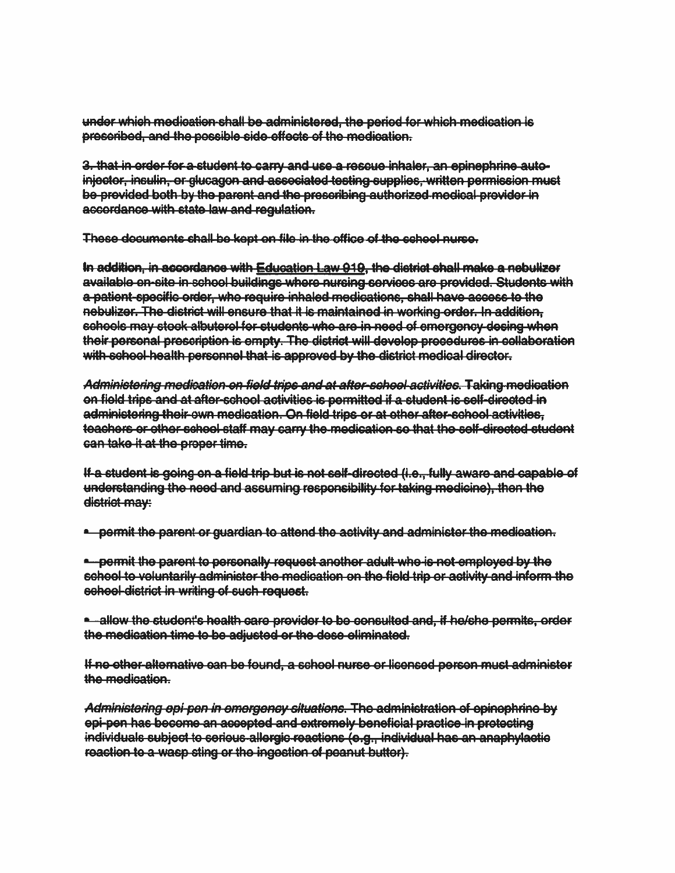under which medication shall bo administered, tho period for which medication is procoribod, and tho possible sido offocts of the medication.

3. that in order for <sup>a</sup> student to carry and use <sup>a</sup> rescue inhaler, an opinephrino auto injector, insulin, or glucagon and associated tooting supplies, written permission must be provided both by the paren<sup>t</sup> and tho proscribing authorized medical provider in accordance with state law and regulation.

These documents shall be kept on file in the office of tho school nurse.

In addition, in accordance with Education Law 919, the district shall make a nebulizer availablo on cite in school buildings whore nursing cervices are provided. Students with a patient specific order, who require inhaled medications, shall have access to the nebulizor. The district will ensure that it is maintained in working order. In addition, schools may stock albutorol for students who aro in nood of emergency dosing whon their persona<sup>l</sup> proscription is empty. The district will dovolop procodurec in collaboration with school health personnel that is approved by the district medical director.

Administoring medication on field trips and at after school activities. Taking medication on fiold trips and at after-school activities is permitted if a student is self-directed in adminictoring their own medication. On field trips or at othor after school activities, toachors or other school staff may carry the modication so that tho colf dirootod ctudont can take it at the proper timo,

If <sup>a</sup> student is going on <sup>a</sup> fiold trip but is not colt directed (i.e., fully aware and capable of understanding the need and assuming responsibility for taking modicine), then the district may:

• permit the paren<sup>t</sup> or guardian to attend tho activity and administor tho modication

- permit the paren<sup>t</sup> to personally reques<sup>t</sup> another adult who is not employed by the school to voluntarily administer the medication en the field trip or activity and inform the school district in writing of such request.

- allow the student's health care providor to bo consulted and, if ho/the permits, order the medication time to be adjusted or the dose eliminated.

If no other alternative can be found, <sup>a</sup> school nurso or licensed poroon must administer the medication.

Administering epi-pen in emergency situations. The administration of epinephrine by opi pen hat become an accepted and extremely beneficial practice in protecting individuals subject to serious allorgic reactions (e.g., individual has an anaphylactic reaction to a wasp sting or the ingestion of peanut butter).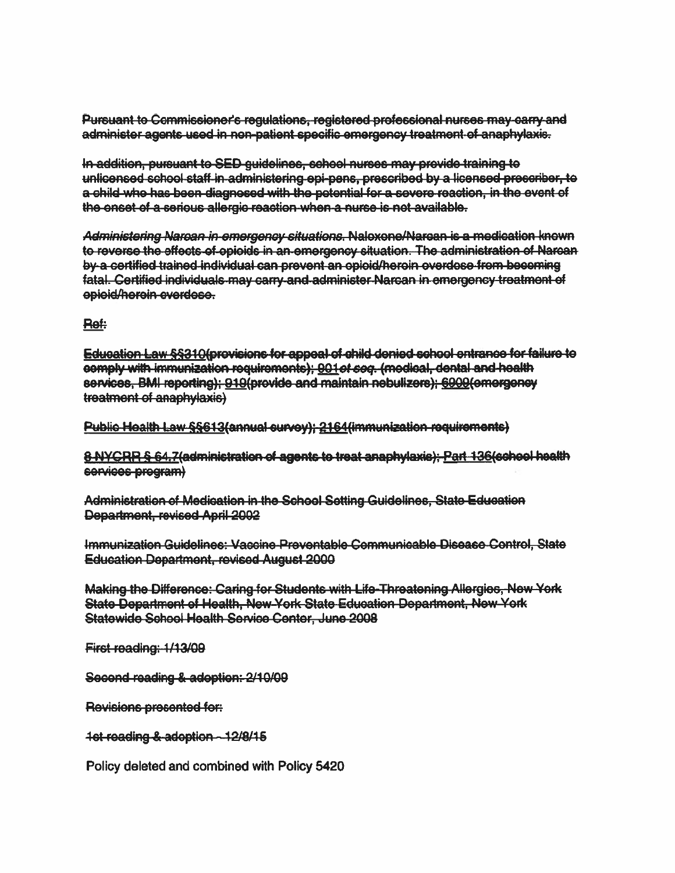Pursuant to Commiscionor's regulations, regicterod professional nurses may carry and administor agents used in non-pationt specific emergency troatmont of anaphylaxis.

In addition, pursuan<sup>t</sup> to SED guidolinos, school nursos may provido training to unlicensed school staff in administering api-pens, prescribed by <sup>a</sup> licerisod procoribor, to a child who has boon diagnosed with the potential for a severe reaction, in the event of the onset of a serious allergic reaction when a nurse is not available.

Administering Narcan in omorgoncy cituationc. Naloxono/Narcan is <sup>a</sup> medication known to reverse the effects of opioids in an emergency sftuation. The administration of Naroan by <sup>a</sup> certified trained individual can preven<sup>t</sup> an oploid/heroin overdose from becoming fatal. Certified individuals may carry and administer Narcan in emergency troatmont of opioid/horoin overdose.

## Re#

Education Law §431 0(previeionc for appeal of child denied school ontrance for failuro to oomply with immunization roquiromonte); 001 of soq. (modical, dontal and health services, BMI reporting); 919(provide and maintain nebulizers); 6909(emergency troatmont of anaphylaxic)

Public Health Law §§613(annual eurvey); 2164 (immunization requirements)

8-NYCRR §64.7(administration of agents to treat anaphylaxis); Part 136(school hoalth services program)

Administration of Medication in the School Sotting Guidolines, State Education Dopartmont, revised April 2002

Immunization Guidelines: Vaccine Preventable Communioablo Dicoaco Control, State Education Dopartmont, rovicod Auguct 2000

Making the Difference: Caring for Students with Life-Threatening Allergies, New York State Department of Health, New York State Education Dopartmont, Now York Statewide School Health Service Center, Juno 2008

First roading: 1/13/00

Second roading & adoption: 2/10/09

Revisions presented for:

1st reading & adoption - 12/8/15

Policy deleted and combined with Policy 5420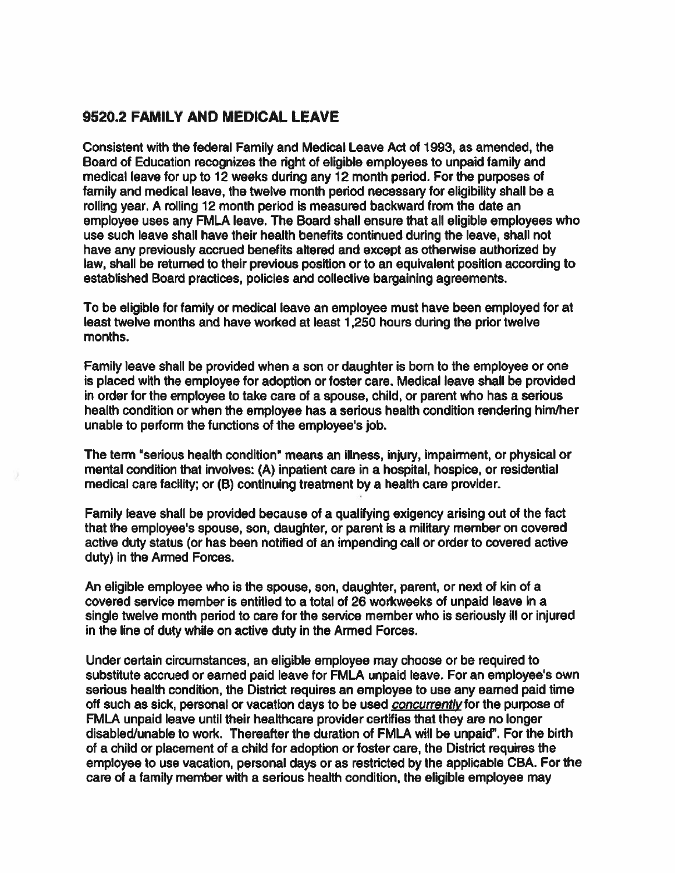# 9520.2 FAMILY AND MEDICAL LEAVE

Consistent with the federal Family and Medical Leave Act of 1993, as amended, the Board of Education recognizes the right of eligible employees to unpaid family and medical leave for up to 12 weeks during any 12 month period. For the purposes of family and medical leave, the twelve month period necessary for eligibility shall be <sup>a</sup> rolling year. A rolling 12 month period is measured backward from the date an employee uses any FMLA leave. The Board shall ensure that all eligible employees who use such leave shall have their health benefits continued during the leave, shall not have any previously accrued benefits altered and excep<sup>t</sup> as otherwise authorized by law, shall be returned to their previous position or to an equivalent position according to established Board practices, policies and collective bargaining agreements.

To be eligible for family or medical leave an employee must have been employed for at least twelve months and have worked at least 1,250 hours during the prior twelve months.

Family leave shall be provided when <sup>a</sup> son or daughter is born to the employee or one is placed with the employee for adoption or foster care. Medical leave shall be provided in order for the employee to take care of <sup>a</sup> spouse, child, or paren<sup>t</sup> who has <sup>a</sup> serious health condition or when the employee has <sup>a</sup> serious health condition rendering him/her unable to perform the functions of the employee's job.

The term "serious health condition" means an illness, injury, impairment, or physical or mental condition that involves: (A) inpatient care in a hospital, hospice, or residential medical care facility; or (B) continuing treatment by <sup>a</sup> health care provider.

Family leave shall be provided because of <sup>a</sup> qualifying exigency arising out of the fact that the employee's spouse, son, daughter, or paren<sup>t</sup> is <sup>a</sup> military member on covered active duty status (or has been notified of an impending call or order to covered active duty) in the Armed Forces.

An eligible employee who is the spouse, son, daughter, parent, or next of kin of <sup>a</sup> covered service member is entitled to <sup>a</sup> total of 26 workweeks of unpaid leave in <sup>a</sup> single twelve month period to care for the service member who is seriously ill or injured in the line of duty while on active duty in the Armed Forces.

Under certain circumstances, an eligible employee may choose or be required to substitute accrued or earned paid leave for FMLA unpaid leave. For an employee's own serious health condition, the District requires an employee to use any earned paid time off such as sick, personal or vacation days to be used *concurrently* for the purpose of FMLA unpaid leave until their healthcare provider certifies that they are no longer disabled/unable to work. Thereafter the duration of FMLA will be unpaid". For the birth of <sup>a</sup> child or placement of <sup>a</sup> child for adoption or foster care, the District requires the employee to use vacation, persona<sup>l</sup> days or as restricted by the applicable CBA. For the care of <sup>a</sup> family member with <sup>a</sup> serious health condition, the eligible employee may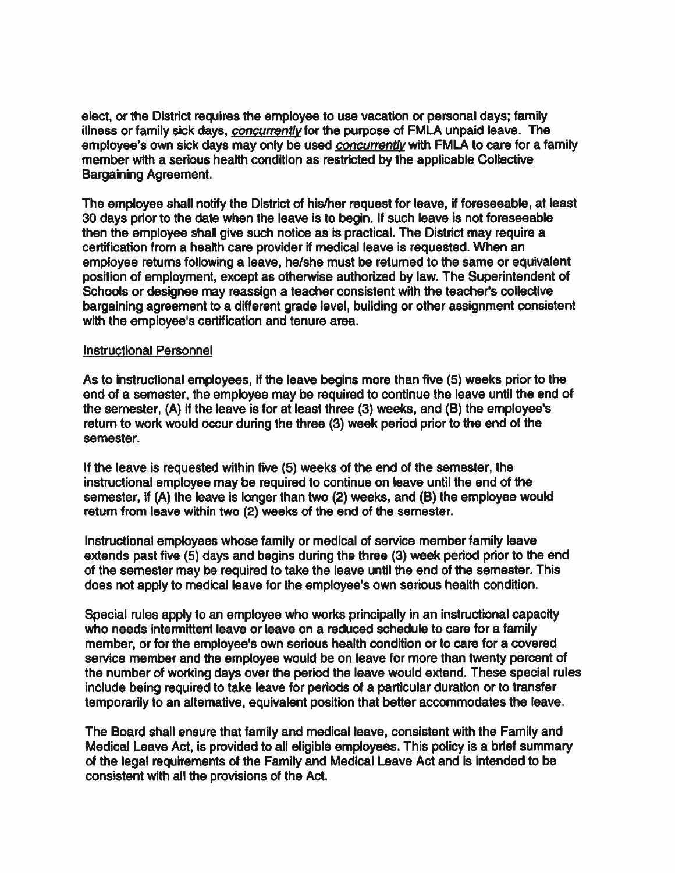elect, or the District requires the employee to use vacation or personal days; family illness or family sick days, concurrently for the purpose of FMLA unpaid leave. The employee's own sick days may only be used concurrently with FMLA to care for a family member with <sup>a</sup> serious health condition as restricted by the applicable Collective Bargaining Agreement.

The employee shall notify the District of his/her reques<sup>t</sup> for leave, if foreseeable, at least 30 days prior to the date when the leave is to begin. If such leave is not foreseeable then the employee shall give such notice as is practical. The District may require <sup>a</sup> certification from <sup>a</sup> health care provider if medical leave is requested. When an employee returns following <sup>a</sup> leave, he/she must be retumed to the same or equivalent position of employment, excep<sup>t</sup> as otherwise authorized by law. The Superintendent of Schools or designee may reassign <sup>a</sup> teacher consistent with the teacher's collective bargaining agreemen<sup>t</sup> to <sup>a</sup> different grade level, building or other assignment consistent with the employee's certification and tenure area.

#### Instructional Personnel

As to instructional employees, if the leave begins more than five (5) weeks prior to the end of <sup>a</sup> semester, the employee may be required to continue the leave until the end of the semester, (A) if the leave is for at least three (3) weeks, and (B) the employee's retum to work would occur during the three (3) week period prior to the end of the semester.

If the leave is requested within five (5) weeks of the end of the semester, the instructional employee may be required to continue on leave until the end of the semester, if (A) the leave is longer than two (2) weeks, and (B) the employee would return from leave within two (2) weeks of the end of the semester.

Instructional employees whose family or medical of service member family leave extends pas<sup>t</sup> five (5) days and begins during the three (3) week period prior to the end of the semester may be required to take the leave until the end of the semester. This does not apply to medical leave for the employee's own serious health condition.

Special rules apply to an employee who works principally in an instructional capacity who needs intermittent leave or leave on <sup>a</sup> reduced schedule to care for <sup>a</sup> family member, or for the employee's own serious health condition or to care for <sup>a</sup> covered service member and the employee would be on leave for more than twenty percen<sup>t</sup> of the number of working days over the period the leave would extend. These special rules include being required to take leave for periods of <sup>a</sup> particular duration or to transfer temporarily to an alternative, equivalent position that better accommodates the leave.

The Board shall ensure that family and medical leave, consistent with the Family and Medical Leave Act, is provided to all eligible employees. This policy is <sup>a</sup> brief summary of the legal requirements of the Family and Medical Leave Act and is intended to be consistent with all the provisions of the Act.